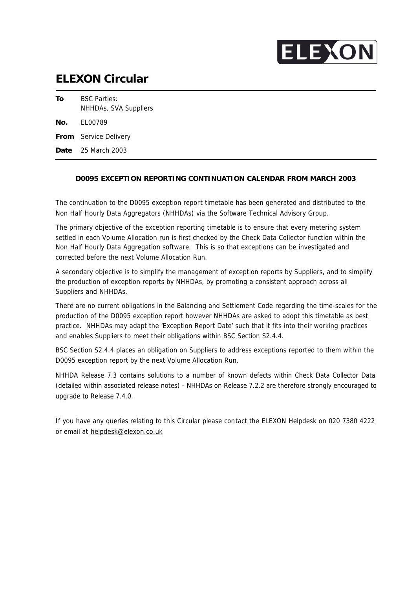

## **ELEXON Circular**

| To  | <b>BSC Parties:</b><br>NHHDAs, SVA Suppliers |
|-----|----------------------------------------------|
| No. | FI 00789                                     |
|     | From Service Delivery                        |
|     | <b>Date</b> 25 March 2003                    |

### **D0095 EXCEPTION REPORTING CONTINUATION CALENDAR FROM MARCH 2003**

The continuation to the D0095 exception report timetable has been generated and distributed to the Non Half Hourly Data Aggregators (NHHDAs) via the Software Technical Advisory Group.

The primary objective of the exception reporting timetable is to ensure that every metering system settled in each Volume Allocation run is first checked by the Check Data Collector function within the Non Half Hourly Data Aggregation software. This is so that exceptions can be investigated and corrected before the next Volume Allocation Run.

A secondary objective is to simplify the management of exception reports by Suppliers, and to simplify the production of exception reports by NHHDAs, by promoting a consistent approach across all Suppliers and NHHDAs.

There are no current obligations in the Balancing and Settlement Code regarding the time-scales for the production of the D0095 exception report however NHHDAs are asked to adopt this timetable as best practice. NHHDAs may adapt the 'Exception Report Date' such that it fits into their working practices and enables Suppliers to meet their obligations within BSC Section S2.4.4.

BSC Section S2.4.4 places an obligation on Suppliers to address exceptions reported to them within the D0095 exception report by the next Volume Allocation Run.

NHHDA Release 7.3 contains solutions to a number of known defects within Check Data Collector Data (detailed within associated release notes) - NHHDAs on Release 7.2.2 are therefore strongly encouraged to upgrade to Release 7.4.0.

If you have any queries relating to this Circular please contact the ELEXON Helpdesk on 020 7380 4222 or email at helpdesk@elexon.co.uk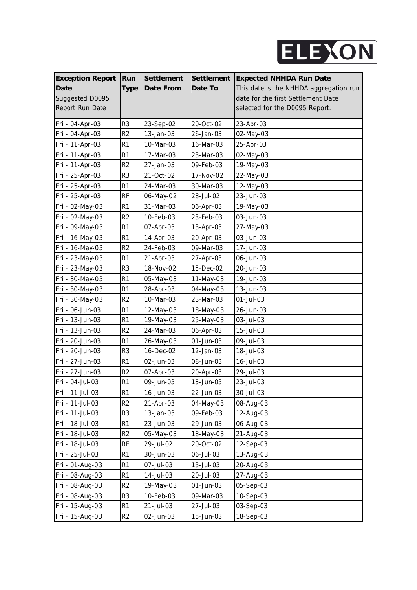

| <b>Exception Report</b> | Run            | <b>Settlement</b> | Settlement | <b>Expected NHHDA Run Date</b>         |
|-------------------------|----------------|-------------------|------------|----------------------------------------|
| <b>Date</b>             | <b>Type</b>    | Date From         | Date To    | This date is the NHHDA aggregation run |
| Suggested D0095         |                |                   |            | date for the first Settlement Date     |
| Report Run Date         |                |                   |            | selected for the D0095 Report.         |
| Fri - 04-Apr-03         | R <sub>3</sub> | 23-Sep-02         | 20-Oct-02  | 23-Apr-03                              |
| Fri - 04-Apr-03         | R <sub>2</sub> | 13-Jan-03         | 26-Jan-03  | 02-May-03                              |
| Fri - 11-Apr-03         | R1             | 10-Mar-03         | 16-Mar-03  | 25-Apr-03                              |
| Fri - 11-Apr-03         | R <sub>1</sub> | 17-Mar-03         | 23-Mar-03  | 02-May-03                              |
| Fri - 11-Apr-03         | R <sub>2</sub> | 27-Jan-03         | 09-Feb-03  | 19-May-03                              |
| Fri - 25-Apr-03         | R3             | 21-Oct-02         | 17-Nov-02  | 22-May-03                              |
| Fri - 25-Apr-03         | R <sub>1</sub> | 24-Mar-03         | 30-Mar-03  | 12-May-03                              |
| Fri - 25-Apr-03         | <b>RF</b>      | 06-May-02         | 28-Jul-02  | 23-Jun-03                              |
| Fri - 02-May-03         | R <sub>1</sub> | 31-Mar-03         | 06-Apr-03  | 19-May-03                              |
| Fri - 02-May-03         | R <sub>2</sub> | 10-Feb-03         | 23-Feb-03  | 03-Jun-03                              |
| Fri - 09-May-03         | R <sub>1</sub> | 07-Apr-03         | 13-Apr-03  | 27-May-03                              |
| Fri - 16-May-03         | R <sub>1</sub> | 14-Apr-03         | 20-Apr-03  | 03-Jun-03                              |
| Fri - 16-May-03         | R2             | 24-Feb-03         | 09-Mar-03  | 17-Jun-03                              |
| Fri - 23-May-03         | R <sub>1</sub> | 21-Apr-03         | 27-Apr-03  | 06-Jun-03                              |
| Fri - 23-May-03         | R <sub>3</sub> | 18-Nov-02         | 15-Dec-02  | 20-Jun-03                              |
| Fri - 30-May-03         | R <sub>1</sub> | 05-May-03         | 11-May-03  | 19-Jun-03                              |
| Fri - 30-May-03         | R <sub>1</sub> | 28-Apr-03         | 04-May-03  | 13-Jun-03                              |
| Fri - 30-May-03         | R <sub>2</sub> | 10-Mar-03         | 23-Mar-03  | 01-Jul-03                              |
| Fri - 06-Jun-03         | R <sub>1</sub> | 12-May-03         | 18-May-03  | 26-Jun-03                              |
| Fri - 13-Jun-03         | R <sub>1</sub> | 19-May-03         | 25-May-03  | 03-Jul-03                              |
| Fri - 13-Jun-03         | R <sub>2</sub> | 24-Mar-03         | 06-Apr-03  | 15-Jul-03                              |
| Fri - 20-Jun-03         | R <sub>1</sub> | 26-May-03         | 01-Jun-03  | 09-Jul-03                              |
| Fri - 20-Jun-03         | R <sub>3</sub> | 16-Dec-02         | 12-Jan-03  | 18-Jul-03                              |
| Fri - 27-Jun-03         | R <sub>1</sub> | 02-Jun-03         | 08-Jun-03  | 16-Jul-03                              |
| Fri - 27-Jun-03         | R <sub>2</sub> | 07-Apr-03         | 20-Apr-03  | 29-Jul-03                              |
| Fri - 04-Jul-03         | R <sub>1</sub> | 09-Jun-03         | 15-Jun-03  | 23-Jul-03                              |
| Fri - 11-Jul-03         | R1             | 16-Jun-03         | 22-Jun-03  | 30-Jul-03                              |
| Fri - 11-Jul-03         | R <sub>2</sub> | 21-Apr-03         | 04-May-03  | 08-Aug-03                              |
| Fri - 11-Jul-03         | R3             | 13-Jan-03         | 09-Feb-03  | 12-Aug-03                              |
| Fri - 18-Jul-03         | R <sub>1</sub> | 23-Jun-03         | 29-Jun-03  | 06-Aug-03                              |
| Fri - 18-Jul-03         | R <sub>2</sub> | 05-May-03         | 18-May-03  | 21-Aug-03                              |
| Fri - 18-Jul-03         | RF             | 29-Jul-02         | 20-Oct-02  | 12-Sep-03                              |
| Fri - 25-Jul-03         | R <sub>1</sub> | 30-Jun-03         | 06-Jul-03  | 13-Aug-03                              |
| Fri - 01-Aug-03         | R <sub>1</sub> | 07-Jul-03         | 13-Jul-03  | 20-Aug-03                              |
| Fri - 08-Aug-03         | R <sub>1</sub> | 14-Jul-03         | 20-Jul-03  | 27-Aug-03                              |
| Fri - 08-Aug-03         | R <sub>2</sub> | 19-May-03         | 01-Jun-03  | 05-Sep-03                              |
| Fri - 08-Aug-03         | R <sub>3</sub> | 10-Feb-03         | 09-Mar-03  | 10-Sep-03                              |
| Fri - 15-Aug-03         | R <sub>1</sub> | 21-Jul-03         | 27-Jul-03  | 03-Sep-03                              |
| Fri - 15-Aug-03         | R <sub>2</sub> | 02-Jun-03         | 15-Jun-03  | 18-Sep-03                              |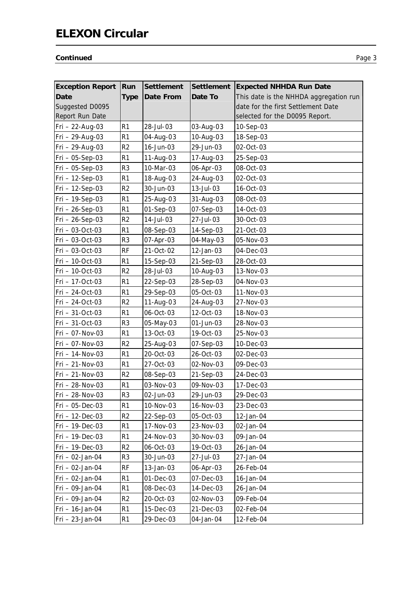# **ELEXON Circular**

### **Continued** Page 3

| <b>Exception Report</b> | Run            | <b>Settlement</b> | <b>Settlement</b> | <b>Expected NHHDA Run Date</b>         |
|-------------------------|----------------|-------------------|-------------------|----------------------------------------|
| Date                    | <b>Type</b>    | Date From         | Date To           | This date is the NHHDA aggregation run |
| Suggested D0095         |                |                   |                   | date for the first Settlement Date     |
| Report Run Date         |                |                   |                   | selected for the D0095 Report.         |
| Fri - 22-Aug-03         | R <sub>1</sub> | 28-Jul-03         | 03-Aug-03         | 10-Sep-03                              |
| Fri - 29-Aug-03         | R <sub>1</sub> | 04-Aug-03         | 10-Aug-03         | 18-Sep-03                              |
| Fri - 29-Aug-03         | R <sub>2</sub> | 16-Jun-03         | 29-Jun-03         | 02-Oct-03                              |
| $Fri - 05-Sep-03$       | R <sub>1</sub> | 11-Aug-03         | 17-Aug-03         | 25-Sep-03                              |
| $Fri - 05-Sep-03$       | R <sub>3</sub> | 10-Mar-03         | 06-Apr-03         | 08-Oct-03                              |
| Fri - 12-Sep-03         | R <sub>1</sub> | 18-Aug-03         | 24-Aug-03         | 02-Oct-03                              |
| Fri - 12-Sep-03         | R <sub>2</sub> | 30-Jun-03         | 13-Jul-03         | 16-Oct-03                              |
| Fri - 19-Sep-03         | R <sub>1</sub> | 25-Aug-03         | 31-Aug-03         | 08-Oct-03                              |
| $Fri - 26-Sep-03$       | R <sub>1</sub> | 01-Sep-03         | 07-Sep-03         | 14-Oct-03                              |
| $Fri - 26-Sep-03$       | R <sub>2</sub> | 14-Jul-03         | 27-Jul-03         | 30-Oct-03                              |
| Fri - 03-Oct-03         | R <sub>1</sub> | 08-Sep-03         | 14-Sep-03         | 21-Oct-03                              |
| Fri - 03-Oct-03         | R <sub>3</sub> | 07-Apr-03         | 04-May-03         | 05-Nov-03                              |
| Fri - 03-Oct-03         | <b>RF</b>      | 21-Oct-02         | 12-Jan-03         | 04-Dec-03                              |
| Fri - 10-Oct-03         | R <sub>1</sub> | 15-Sep-03         | 21-Sep-03         | 28-Oct-03                              |
| Fri - 10-Oct-03         | R <sub>2</sub> | 28-Jul-03         | 10-Aug-03         | 13-Nov-03                              |
| Fri - 17-Oct-03         | R <sub>1</sub> | 22-Sep-03         | 28-Sep-03         | 04-Nov-03                              |
| Fri - 24-Oct-03         | R <sub>1</sub> | 29-Sep-03         | 05-Oct-03         | 11-Nov-03                              |
| Fri - 24-Oct-03         | R <sub>2</sub> | 11-Aug-03         | 24-Aug-03         | 27-Nov-03                              |
| Fri - 31-Oct-03         | R <sub>1</sub> | 06-Oct-03         | 12-Oct-03         | 18-Nov-03                              |
| Fri - 31-Oct-03         | R <sub>3</sub> | 05-May-03         | 01-Jun-03         | 28-Nov-03                              |
| Fri - 07-Nov-03         | R <sub>1</sub> | 13-Oct-03         | 19-Oct-03         | 25-Nov-03                              |
| Fri - 07-Nov-03         | R <sub>2</sub> | 25-Aug-03         | 07-Sep-03         | 10-Dec-03                              |
| Fri - 14-Nov-03         | R <sub>1</sub> | 20-Oct-03         | 26-Oct-03         | 02-Dec-03                              |
| Fri - 21-Nov-03         | R <sub>1</sub> | 27-Oct-03         | 02-Nov-03         | 09-Dec-03                              |
| Fri - 21-Nov-03         | R <sub>2</sub> | 08-Sep-03         | 21-Sep-03         | 24-Dec-03                              |
| Fri - 28-Nov-03         | R <sub>1</sub> | 03-Nov-03         | 09-Nov-03         | 17-Dec-03                              |
| Fri - 28-Nov-03         | R <sub>3</sub> | 02-Jun-03         | 29-Jun-03         | 29-Dec-03                              |
| $Fri - 05 - Dec-03$     | R <sub>1</sub> | 10-Nov-03         | 16-Nov-03         | 23-Dec-03                              |
| Fri - 12-Dec-03         | R <sub>2</sub> | 22-Sep-03         | 05-Oct-03         | 12-Jan-04                              |
| Fri - 19-Dec-03         | R <sub>1</sub> | 17-Nov-03         | 23-Nov-03         | 02-Jan-04                              |
| Fri - 19-Dec-03         | R <sub>1</sub> | 24-Nov-03         | 30-Nov-03         | 09-Jan-04                              |
| Fri - 19-Dec-03         | R <sub>2</sub> | 06-Oct-03         | 19-Oct-03         | 26-Jan-04                              |
| Fri - 02-Jan-04         | R <sub>3</sub> | 30-Jun-03         | 27-Jul-03         | 27-Jan-04                              |
| Fri - 02-Jan-04         | <b>RF</b>      | 13-Jan-03         | 06-Apr-03         | 26-Feb-04                              |
| Fri - 02-Jan-04         | R <sub>1</sub> | 01-Dec-03         | 07-Dec-03         | 16-Jan-04                              |
| Fri - 09-Jan-04         | R <sub>1</sub> | 08-Dec-03         | 14-Dec-03         | 26-Jan-04                              |
| Fri - 09-Jan-04         | R <sub>2</sub> | 20-Oct-03         | 02-Nov-03         | 09-Feb-04                              |
| Fri - 16-Jan-04         | R <sub>1</sub> | 15-Dec-03         | 21-Dec-03         | 02-Feb-04                              |
| Fri - 23-Jan-04         | R1             | 29-Dec-03         | 04-Jan-04         | 12-Feb-04                              |